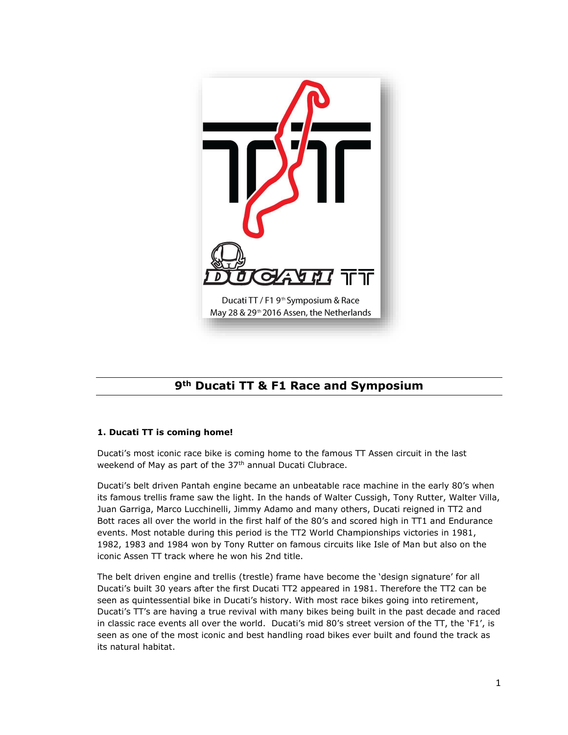

# **9th Ducati TT & F1 Race and Symposium**

## **1. Ducati TT is coming home!**

Ducati's most iconic race bike is coming home to the famous TT Assen circuit in the last weekend of May as part of the 37<sup>th</sup> annual Ducati Clubrace.

Ducati's belt driven Pantah engine became an unbeatable race machine in the early 80's when its famous trellis frame saw the light. In the hands of Walter Cussigh, Tony Rutter, Walter Villa, Juan Garriga, Marco Lucchinelli, Jimmy Adamo and many others, Ducati reigned in TT2 and Bott races all over the world in the first half of the 80's and scored high in TT1 and Endurance events. Most notable during this period is the TT2 World Championships victories in 1981, 1982, 1983 and 1984 won by Tony Rutter on famous circuits like Isle of Man but also on the iconic Assen TT track where he won his 2nd title.

The belt driven engine and trellis (trestle) frame have become the 'design signature' for all Ducati's built 30 years after the first Ducati TT2 appeared in 1981. Therefore the TT2 can be seen as quintessential bike in Ducati's history. With most race bikes going into retirement, Ducati's TT's are having a true revival with many bikes being built in the past decade and raced in classic race events all over the world. Ducati's mid 80's street version of the TT, the 'F1', is seen as one of the most iconic and best handling road bikes ever built and found the track as its natural habitat.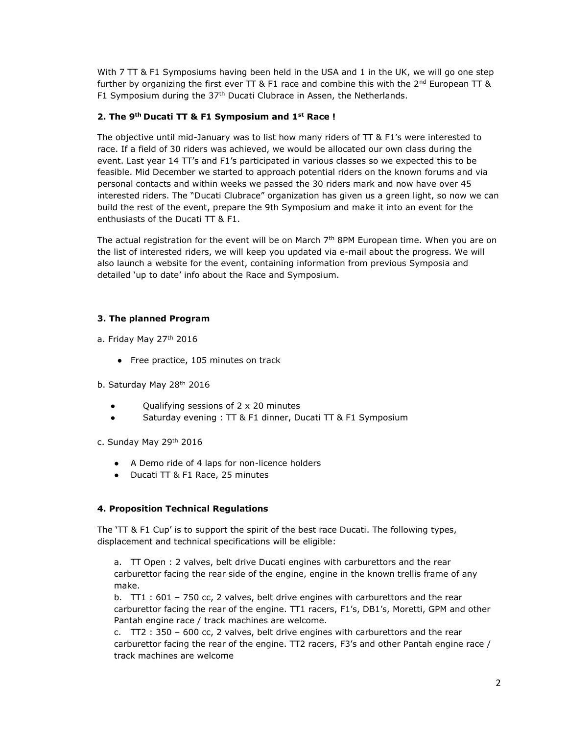With 7 TT & F1 Symposiums having been held in the USA and 1 in the UK, we will go one step further by organizing the first ever TT & F1 race and combine this with the  $2^{nd}$  European TT & F1 Symposium during the  $37<sup>th</sup>$  Ducati Clubrace in Assen, the Netherlands.

#### **2. The 9th Ducati TT & F1 Symposium and 1st Race !**

The objective until mid-January was to list how many riders of  $TT$  &  $F1$ 's were interested to race. If a field of 30 riders was achieved, we would be allocated our own class during the event. Last year 14 TT's and F1's participated in various classes so we expected this to be feasible. Mid December we started to approach potential riders on the known forums and via personal contacts and within weeks we passed the 30 riders mark and now have over 45 interested riders. The "Ducati Clubrace" organization has given us a green light, so now we can build the rest of the event, prepare the 9th Symposium and make it into an event for the enthusiasts of the Ducati TT & F1.

The actual registration for the event will be on March  $7<sup>th</sup>$  8PM European time. When you are on the list of interested riders, we will keep you updated via e-mail about the progress. We will also launch a website for the event, containing information from previous Symposia and detailed 'up to date' info about the Race and Symposium.

## **3. The planned Program**

a. Friday May 27<sup>th</sup> 2016

- Free practice, 105 minutes on track
- b. Saturday May 28<sup>th</sup> 2016
	- Qualifying sessions of  $2 \times 20$  minutes
	- Saturday evening : TT & F1 dinner, Ducati TT & F1 Symposium
- c. Sunday May 29th 2016
	- A Demo ride of 4 laps for non-licence holders
	- Ducati TT & F1 Race, 25 minutes

## **4. Proposition Technical Regulations**

The 'TT & F1 Cup' is to support the spirit of the best race Ducati. The following types, displacement and technical specifications will be eligible:

a. TT Open : 2 valves, belt drive Ducati engines with carburettors and the rear carburettor facing the rear side of the engine, engine in the known trellis frame of any make.

b. TT1 : 601 – 750 cc, 2 valves, belt drive engines with carburettors and the rear carburettor facing the rear of the engine. TT1 racers, F1's, DB1's, Moretti, GPM and other Pantah engine race / track machines are welcome.

c. TT2 : 350 – 600 cc, 2 valves, belt drive engines with carburettors and the rear carburettor facing the rear of the engine. TT2 racers, F3's and other Pantah engine race / track machines are welcome